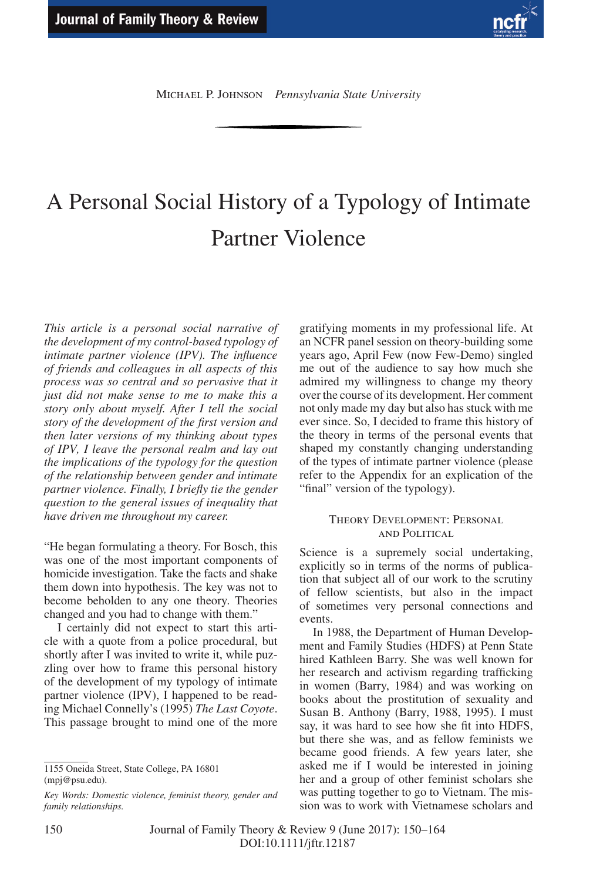

Michael P. Johnson *Pennsylvania State University*

# A Personal Social History of a Typology of Intimate Partner Violence

*This article is a personal social narrative of the development of my control-based typology of intimate partner violence (IPV). The influence of friends and colleagues in all aspects of this process was so central and so pervasive that it just did not make sense to me to make this a story only about myself. After I tell the social story of the development of the first version and then later versions of my thinking about types of IPV, I leave the personal realm and lay out the implications of the typology for the question of the relationship between gender and intimate partner violence. Finally, I briefly tie the gender question to the general issues of inequality that have driven me throughout my career.*

"He began formulating a theory. For Bosch, this was one of the most important components of homicide investigation. Take the facts and shake them down into hypothesis. The key was not to become beholden to any one theory. Theories changed and you had to change with them."

I certainly did not expect to start this article with a quote from a police procedural, but shortly after I was invited to write it, while puzzling over how to frame this personal history of the development of my typology of intimate partner violence (IPV), I happened to be reading Michael Connelly's (1995) *The Last Coyote*. This passage brought to mind one of the more

gratifying moments in my professional life. At an NCFR panel session on theory-building some years ago, April Few (now Few-Demo) singled me out of the audience to say how much she admired my willingness to change my theory over the course of its development. Her comment not only made my day but also has stuck with me ever since. So, I decided to frame this history of the theory in terms of the personal events that shaped my constantly changing understanding of the types of intimate partner violence (please refer to the Appendix for an explication of the "final" version of the typology).

# Theory Development: Personal and Political

Science is a supremely social undertaking, explicitly so in terms of the norms of publication that subject all of our work to the scrutiny of fellow scientists, but also in the impact of sometimes very personal connections and events.

In 1988, the Department of Human Development and Family Studies (HDFS) at Penn State hired Kathleen Barry. She was well known for her research and activism regarding trafficking in women (Barry, 1984) and was working on books about the prostitution of sexuality and Susan B. Anthony (Barry, 1988, 1995). I must say, it was hard to see how she fit into HDFS, but there she was, and as fellow feminists we became good friends. A few years later, she asked me if I would be interested in joining her and a group of other feminist scholars she was putting together to go to Vietnam. The mission was to work with Vietnamese scholars and

<sup>1155</sup> Oneida Street, State College, PA 16801 (mpj@psu.edu).

*Key Words: Domestic violence, feminist theory, gender and family relationships.*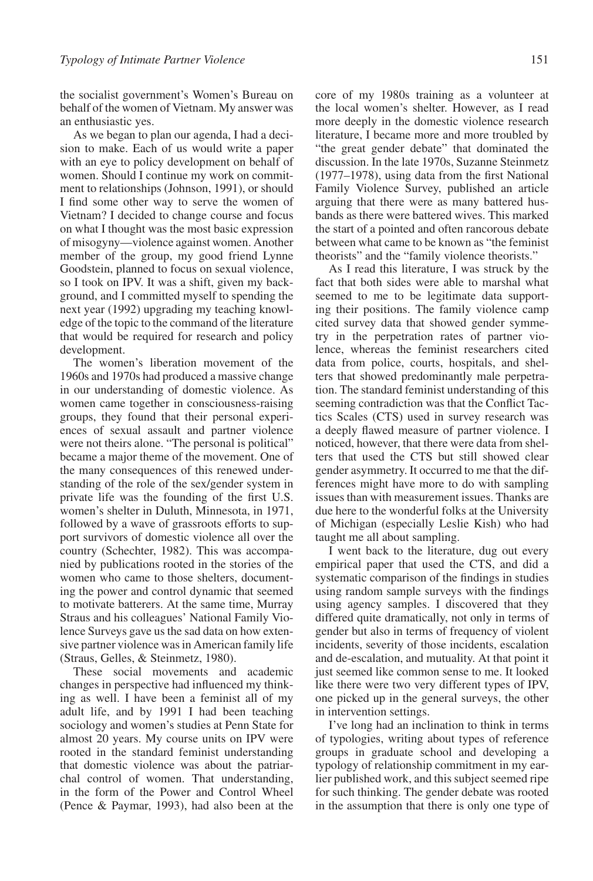the socialist government's Women's Bureau on behalf of the women of Vietnam. My answer was an enthusiastic yes.

As we began to plan our agenda, I had a decision to make. Each of us would write a paper with an eye to policy development on behalf of women. Should I continue my work on commitment to relationships (Johnson, 1991), or should I find some other way to serve the women of Vietnam? I decided to change course and focus on what I thought was the most basic expression of misogyny—violence against women. Another member of the group, my good friend Lynne Goodstein, planned to focus on sexual violence, so I took on IPV. It was a shift, given my background, and I committed myself to spending the next year (1992) upgrading my teaching knowledge of the topic to the command of the literature that would be required for research and policy development.

The women's liberation movement of the 1960s and 1970s had produced a massive change in our understanding of domestic violence. As women came together in consciousness-raising groups, they found that their personal experiences of sexual assault and partner violence were not theirs alone. "The personal is political" became a major theme of the movement. One of the many consequences of this renewed understanding of the role of the sex/gender system in private life was the founding of the first U.S. women's shelter in Duluth, Minnesota, in 1971, followed by a wave of grassroots efforts to support survivors of domestic violence all over the country (Schechter, 1982). This was accompanied by publications rooted in the stories of the women who came to those shelters, documenting the power and control dynamic that seemed to motivate batterers. At the same time, Murray Straus and his colleagues' National Family Violence Surveys gave us the sad data on how extensive partner violence was in American family life (Straus, Gelles, & Steinmetz, 1980).

These social movements and academic changes in perspective had influenced my thinking as well. I have been a feminist all of my adult life, and by 1991 I had been teaching sociology and women's studies at Penn State for almost 20 years. My course units on IPV were rooted in the standard feminist understanding that domestic violence was about the patriarchal control of women. That understanding, in the form of the Power and Control Wheel (Pence & Paymar, 1993), had also been at the core of my 1980s training as a volunteer at the local women's shelter. However, as I read more deeply in the domestic violence research literature, I became more and more troubled by "the great gender debate" that dominated the discussion. In the late 1970s, Suzanne Steinmetz (1977–1978), using data from the first National Family Violence Survey, published an article arguing that there were as many battered husbands as there were battered wives. This marked the start of a pointed and often rancorous debate between what came to be known as "the feminist theorists" and the "family violence theorists."

As I read this literature, I was struck by the fact that both sides were able to marshal what seemed to me to be legitimate data supporting their positions. The family violence camp cited survey data that showed gender symmetry in the perpetration rates of partner violence, whereas the feminist researchers cited data from police, courts, hospitals, and shelters that showed predominantly male perpetration. The standard feminist understanding of this seeming contradiction was that the Conflict Tactics Scales (CTS) used in survey research was a deeply flawed measure of partner violence. I noticed, however, that there were data from shelters that used the CTS but still showed clear gender asymmetry. It occurred to me that the differences might have more to do with sampling issues than with measurement issues. Thanks are due here to the wonderful folks at the University of Michigan (especially Leslie Kish) who had taught me all about sampling.

I went back to the literature, dug out every empirical paper that used the CTS, and did a systematic comparison of the findings in studies using random sample surveys with the findings using agency samples. I discovered that they differed quite dramatically, not only in terms of gender but also in terms of frequency of violent incidents, severity of those incidents, escalation and de-escalation, and mutuality. At that point it just seemed like common sense to me. It looked like there were two very different types of IPV, one picked up in the general surveys, the other in intervention settings.

I've long had an inclination to think in terms of typologies, writing about types of reference groups in graduate school and developing a typology of relationship commitment in my earlier published work, and this subject seemed ripe for such thinking. The gender debate was rooted in the assumption that there is only one type of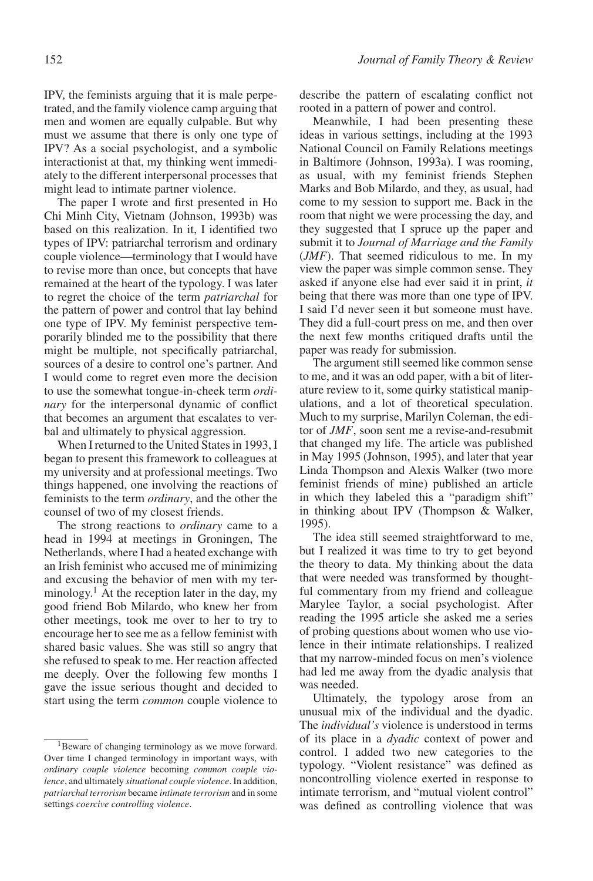IPV, the feminists arguing that it is male perpetrated, and the family violence camp arguing that men and women are equally culpable. But why must we assume that there is only one type of IPV? As a social psychologist, and a symbolic interactionist at that, my thinking went immediately to the different interpersonal processes that might lead to intimate partner violence.

The paper I wrote and first presented in Ho Chi Minh City, Vietnam (Johnson, 1993b) was based on this realization. In it, I identified two types of IPV: patriarchal terrorism and ordinary couple violence—terminology that I would have to revise more than once, but concepts that have remained at the heart of the typology. I was later to regret the choice of the term *patriarchal* for the pattern of power and control that lay behind one type of IPV. My feminist perspective temporarily blinded me to the possibility that there might be multiple, not specifically patriarchal, sources of a desire to control one's partner. And I would come to regret even more the decision to use the somewhat tongue-in-cheek term *ordinary* for the interpersonal dynamic of conflict that becomes an argument that escalates to verbal and ultimately to physical aggression.

When I returned to the United States in 1993, I began to present this framework to colleagues at my university and at professional meetings. Two things happened, one involving the reactions of feminists to the term *ordinary*, and the other the counsel of two of my closest friends.

The strong reactions to *ordinary* came to a head in 1994 at meetings in Groningen, The Netherlands, where I had a heated exchange with an Irish feminist who accused me of minimizing and excusing the behavior of men with my ter-minology.<sup>[1](#page-2-0)</sup> At the reception later in the day, my good friend Bob Milardo, who knew her from other meetings, took me over to her to try to encourage her to see me as a fellow feminist with shared basic values. She was still so angry that she refused to speak to me. Her reaction affected me deeply. Over the following few months I gave the issue serious thought and decided to start using the term *common* couple violence to describe the pattern of escalating conflict not rooted in a pattern of power and control.

Meanwhile, I had been presenting these ideas in various settings, including at the 1993 National Council on Family Relations meetings in Baltimore (Johnson, 1993a). I was rooming, as usual, with my feminist friends Stephen Marks and Bob Milardo, and they, as usual, had come to my session to support me. Back in the room that night we were processing the day, and they suggested that I spruce up the paper and submit it to *Journal of Marriage and the Family* (*JMF*). That seemed ridiculous to me. In my view the paper was simple common sense. They asked if anyone else had ever said it in print, *it* being that there was more than one type of IPV. I said I'd never seen it but someone must have. They did a full-court press on me, and then over the next few months critiqued drafts until the paper was ready for submission.

The argument still seemed like common sense to me, and it was an odd paper, with a bit of literature review to it, some quirky statistical manipulations, and a lot of theoretical speculation. Much to my surprise, Marilyn Coleman, the editor of *JMF*, soon sent me a revise-and-resubmit that changed my life. The article was published in May 1995 (Johnson, 1995), and later that year Linda Thompson and Alexis Walker (two more feminist friends of mine) published an article in which they labeled this a "paradigm shift" in thinking about IPV (Thompson & Walker, 1995).

The idea still seemed straightforward to me, but I realized it was time to try to get beyond the theory to data. My thinking about the data that were needed was transformed by thoughtful commentary from my friend and colleague Marylee Taylor, a social psychologist. After reading the 1995 article she asked me a series of probing questions about women who use violence in their intimate relationships. I realized that my narrow-minded focus on men's violence had led me away from the dyadic analysis that was needed.

Ultimately, the typology arose from an unusual mix of the individual and the dyadic. The *individual's* violence is understood in terms of its place in a *dyadic* context of power and control. I added two new categories to the typology. "Violent resistance" was defined as noncontrolling violence exerted in response to intimate terrorism, and "mutual violent control" was defined as controlling violence that was

<span id="page-2-0"></span><sup>&</sup>lt;sup>1</sup>Beware of changing terminology as we move forward. Over time I changed terminology in important ways, with *ordinary couple violence* becoming *common couple violence*, and ultimately *situational couple violence*. In addition, *patriarchal terrorism* became *intimate terrorism* and in some settings *coercive controlling violence*.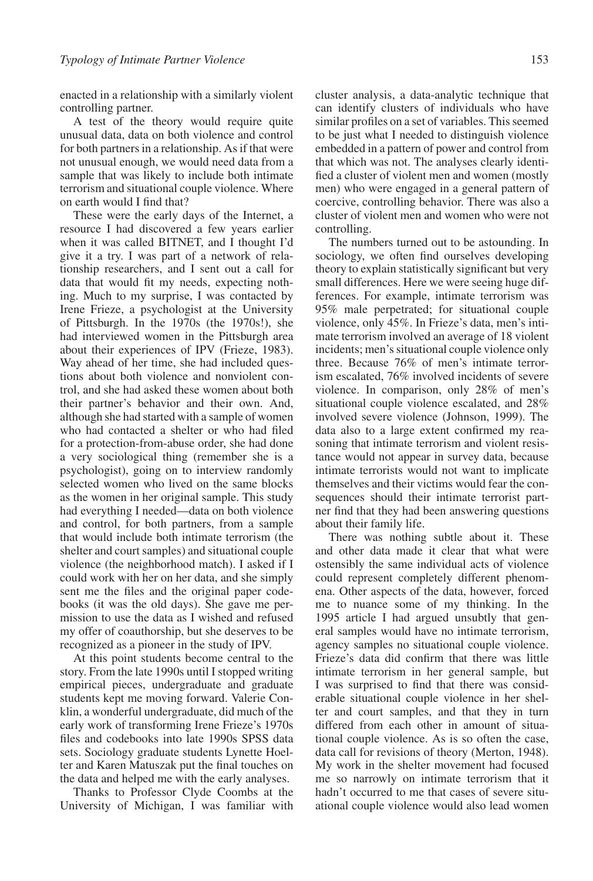enacted in a relationship with a similarly violent controlling partner.

A test of the theory would require quite unusual data, data on both violence and control for both partners in a relationship. As if that were not unusual enough, we would need data from a sample that was likely to include both intimate terrorism and situational couple violence. Where on earth would I find that?

These were the early days of the Internet, a resource I had discovered a few years earlier when it was called BITNET, and I thought I'd give it a try. I was part of a network of relationship researchers, and I sent out a call for data that would fit my needs, expecting nothing. Much to my surprise, I was contacted by Irene Frieze, a psychologist at the University of Pittsburgh. In the 1970s (the 1970s!), she had interviewed women in the Pittsburgh area about their experiences of IPV (Frieze, 1983). Way ahead of her time, she had included questions about both violence and nonviolent control, and she had asked these women about both their partner's behavior and their own. And, although she had started with a sample of women who had contacted a shelter or who had filed for a protection-from-abuse order, she had done a very sociological thing (remember she is a psychologist), going on to interview randomly selected women who lived on the same blocks as the women in her original sample. This study had everything I needed—data on both violence and control, for both partners, from a sample that would include both intimate terrorism (the shelter and court samples) and situational couple violence (the neighborhood match). I asked if I could work with her on her data, and she simply sent me the files and the original paper codebooks (it was the old days). She gave me permission to use the data as I wished and refused my offer of coauthorship, but she deserves to be recognized as a pioneer in the study of IPV.

At this point students become central to the story. From the late 1990s until I stopped writing empirical pieces, undergraduate and graduate students kept me moving forward. Valerie Conklin, a wonderful undergraduate, did much of the early work of transforming Irene Frieze's 1970s files and codebooks into late 1990s SPSS data sets. Sociology graduate students Lynette Hoelter and Karen Matuszak put the final touches on the data and helped me with the early analyses.

Thanks to Professor Clyde Coombs at the University of Michigan, I was familiar with cluster analysis, a data-analytic technique that can identify clusters of individuals who have similar profiles on a set of variables. This seemed to be just what I needed to distinguish violence embedded in a pattern of power and control from that which was not. The analyses clearly identified a cluster of violent men and women (mostly men) who were engaged in a general pattern of coercive, controlling behavior. There was also a cluster of violent men and women who were not controlling.

The numbers turned out to be astounding. In sociology, we often find ourselves developing theory to explain statistically significant but very small differences. Here we were seeing huge differences. For example, intimate terrorism was 95% male perpetrated; for situational couple violence, only 45%. In Frieze's data, men's intimate terrorism involved an average of 18 violent incidents; men's situational couple violence only three. Because 76% of men's intimate terrorism escalated, 76% involved incidents of severe violence. In comparison, only 28% of men's situational couple violence escalated, and 28% involved severe violence (Johnson, 1999). The data also to a large extent confirmed my reasoning that intimate terrorism and violent resistance would not appear in survey data, because intimate terrorists would not want to implicate themselves and their victims would fear the consequences should their intimate terrorist partner find that they had been answering questions about their family life.

There was nothing subtle about it. These and other data made it clear that what were ostensibly the same individual acts of violence could represent completely different phenomena. Other aspects of the data, however, forced me to nuance some of my thinking. In the 1995 article I had argued unsubtly that general samples would have no intimate terrorism, agency samples no situational couple violence. Frieze's data did confirm that there was little intimate terrorism in her general sample, but I was surprised to find that there was considerable situational couple violence in her shelter and court samples, and that they in turn differed from each other in amount of situational couple violence. As is so often the case, data call for revisions of theory (Merton, 1948). My work in the shelter movement had focused me so narrowly on intimate terrorism that it hadn't occurred to me that cases of severe situational couple violence would also lead women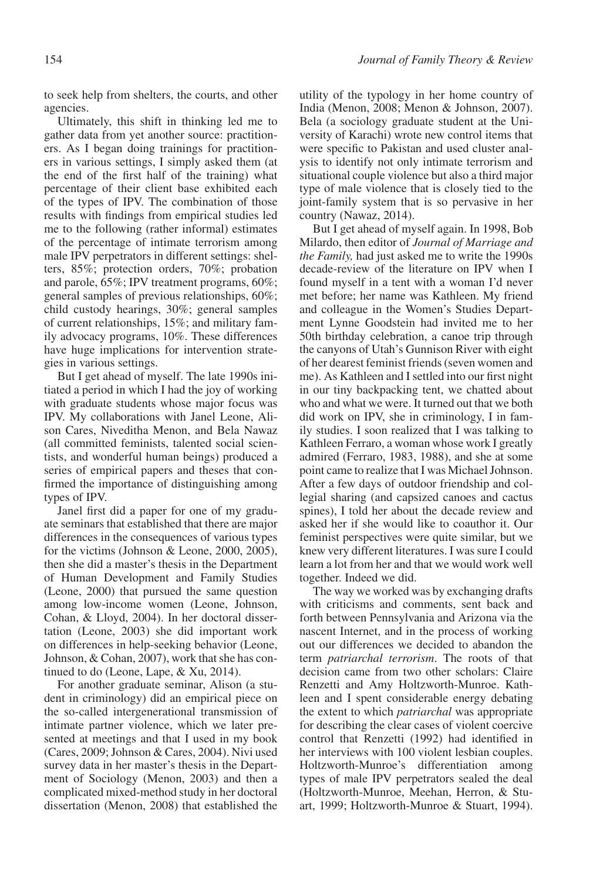to seek help from shelters, the courts, and other agencies.

Ultimately, this shift in thinking led me to gather data from yet another source: practitioners. As I began doing trainings for practitioners in various settings, I simply asked them (at the end of the first half of the training) what percentage of their client base exhibited each of the types of IPV. The combination of those results with findings from empirical studies led me to the following (rather informal) estimates of the percentage of intimate terrorism among male IPV perpetrators in different settings: shelters, 85%; protection orders, 70%; probation and parole, 65%; IPV treatment programs, 60%; general samples of previous relationships, 60%; child custody hearings, 30%; general samples of current relationships, 15%; and military family advocacy programs, 10%. These differences have huge implications for intervention strategies in various settings.

But I get ahead of myself. The late 1990s initiated a period in which I had the joy of working with graduate students whose major focus was IPV. My collaborations with Janel Leone, Alison Cares, Niveditha Menon, and Bela Nawaz (all committed feminists, talented social scientists, and wonderful human beings) produced a series of empirical papers and theses that confirmed the importance of distinguishing among types of IPV.

Janel first did a paper for one of my graduate seminars that established that there are major differences in the consequences of various types for the victims (Johnson & Leone, 2000, 2005), then she did a master's thesis in the Department of Human Development and Family Studies (Leone, 2000) that pursued the same question among low-income women (Leone, Johnson, Cohan, & Lloyd, 2004). In her doctoral dissertation (Leone, 2003) she did important work on differences in help-seeking behavior (Leone, Johnson, & Cohan, 2007), work that she has continued to do (Leone, Lape, & Xu, 2014).

For another graduate seminar, Alison (a student in criminology) did an empirical piece on the so-called intergenerational transmission of intimate partner violence, which we later presented at meetings and that I used in my book (Cares, 2009; Johnson & Cares, 2004). Nivi used survey data in her master's thesis in the Department of Sociology (Menon, 2003) and then a complicated mixed-method study in her doctoral dissertation (Menon, 2008) that established the utility of the typology in her home country of India (Menon, 2008; Menon & Johnson, 2007). Bela (a sociology graduate student at the University of Karachi) wrote new control items that were specific to Pakistan and used cluster analysis to identify not only intimate terrorism and situational couple violence but also a third major type of male violence that is closely tied to the joint-family system that is so pervasive in her country (Nawaz, 2014).

But I get ahead of myself again. In 1998, Bob Milardo, then editor of *Journal of Marriage and the Family,* had just asked me to write the 1990s decade-review of the literature on IPV when I found myself in a tent with a woman I'd never met before; her name was Kathleen. My friend and colleague in the Women's Studies Department Lynne Goodstein had invited me to her 50th birthday celebration, a canoe trip through the canyons of Utah's Gunnison River with eight of her dearest feminist friends (seven women and me). As Kathleen and I settled into our first night in our tiny backpacking tent, we chatted about who and what we were. It turned out that we both did work on IPV, she in criminology, I in family studies. I soon realized that I was talking to Kathleen Ferraro, a woman whose work I greatly admired (Ferraro, 1983, 1988), and she at some point came to realize that I was Michael Johnson. After a few days of outdoor friendship and collegial sharing (and capsized canoes and cactus spines), I told her about the decade review and asked her if she would like to coauthor it. Our feminist perspectives were quite similar, but we knew very different literatures. I was sure I could learn a lot from her and that we would work well together. Indeed we did.

The way we worked was by exchanging drafts with criticisms and comments, sent back and forth between Pennsylvania and Arizona via the nascent Internet, and in the process of working out our differences we decided to abandon the term *patriarchal terrorism*. The roots of that decision came from two other scholars: Claire Renzetti and Amy Holtzworth-Munroe. Kathleen and I spent considerable energy debating the extent to which *patriarchal* was appropriate for describing the clear cases of violent coercive control that Renzetti (1992) had identified in her interviews with 100 violent lesbian couples. Holtzworth-Munroe's differentiation among types of male IPV perpetrators sealed the deal (Holtzworth-Munroe, Meehan, Herron, & Stuart, 1999; Holtzworth-Munroe & Stuart, 1994).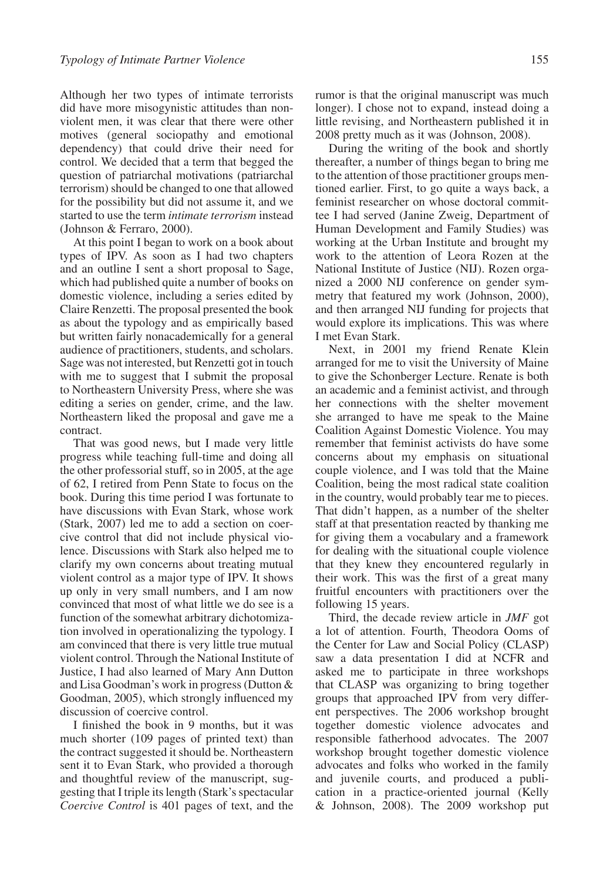Although her two types of intimate terrorists did have more misogynistic attitudes than nonviolent men, it was clear that there were other motives (general sociopathy and emotional dependency) that could drive their need for control. We decided that a term that begged the question of patriarchal motivations (patriarchal terrorism) should be changed to one that allowed for the possibility but did not assume it, and we started to use the term *intimate terrorism* instead (Johnson & Ferraro, 2000).

At this point I began to work on a book about types of IPV. As soon as I had two chapters and an outline I sent a short proposal to Sage, which had published quite a number of books on domestic violence, including a series edited by Claire Renzetti. The proposal presented the book as about the typology and as empirically based but written fairly nonacademically for a general audience of practitioners, students, and scholars. Sage was not interested, but Renzetti got in touch with me to suggest that I submit the proposal to Northeastern University Press, where she was editing a series on gender, crime, and the law. Northeastern liked the proposal and gave me a contract.

That was good news, but I made very little progress while teaching full-time and doing all the other professorial stuff, so in 2005, at the age of 62, I retired from Penn State to focus on the book. During this time period I was fortunate to have discussions with Evan Stark, whose work (Stark, 2007) led me to add a section on coercive control that did not include physical violence. Discussions with Stark also helped me to clarify my own concerns about treating mutual violent control as a major type of IPV. It shows up only in very small numbers, and I am now convinced that most of what little we do see is a function of the somewhat arbitrary dichotomization involved in operationalizing the typology. I am convinced that there is very little true mutual violent control. Through the National Institute of Justice, I had also learned of Mary Ann Dutton and Lisa Goodman's work in progress (Dutton & Goodman, 2005), which strongly influenced my discussion of coercive control.

I finished the book in 9 months, but it was much shorter (109 pages of printed text) than the contract suggested it should be. Northeastern sent it to Evan Stark, who provided a thorough and thoughtful review of the manuscript, suggesting that I triple its length (Stark's spectacular *Coercive Control* is 401 pages of text, and the rumor is that the original manuscript was much longer). I chose not to expand, instead doing a little revising, and Northeastern published it in 2008 pretty much as it was (Johnson, 2008).

During the writing of the book and shortly thereafter, a number of things began to bring me to the attention of those practitioner groups mentioned earlier. First, to go quite a ways back, a feminist researcher on whose doctoral committee I had served (Janine Zweig, Department of Human Development and Family Studies) was working at the Urban Institute and brought my work to the attention of Leora Rozen at the National Institute of Justice (NIJ). Rozen organized a 2000 NIJ conference on gender symmetry that featured my work (Johnson, 2000), and then arranged NIJ funding for projects that would explore its implications. This was where I met Evan Stark.

Next, in 2001 my friend Renate Klein arranged for me to visit the University of Maine to give the Schonberger Lecture. Renate is both an academic and a feminist activist, and through her connections with the shelter movement she arranged to have me speak to the Maine Coalition Against Domestic Violence. You may remember that feminist activists do have some concerns about my emphasis on situational couple violence, and I was told that the Maine Coalition, being the most radical state coalition in the country, would probably tear me to pieces. That didn't happen, as a number of the shelter staff at that presentation reacted by thanking me for giving them a vocabulary and a framework for dealing with the situational couple violence that they knew they encountered regularly in their work. This was the first of a great many fruitful encounters with practitioners over the following 15 years.

Third, the decade review article in *JMF* got a lot of attention. Fourth, Theodora Ooms of the Center for Law and Social Policy (CLASP) saw a data presentation I did at NCFR and asked me to participate in three workshops that CLASP was organizing to bring together groups that approached IPV from very different perspectives. The 2006 workshop brought together domestic violence advocates and responsible fatherhood advocates. The 2007 workshop brought together domestic violence advocates and folks who worked in the family and juvenile courts, and produced a publication in a practice-oriented journal (Kelly & Johnson, 2008). The 2009 workshop put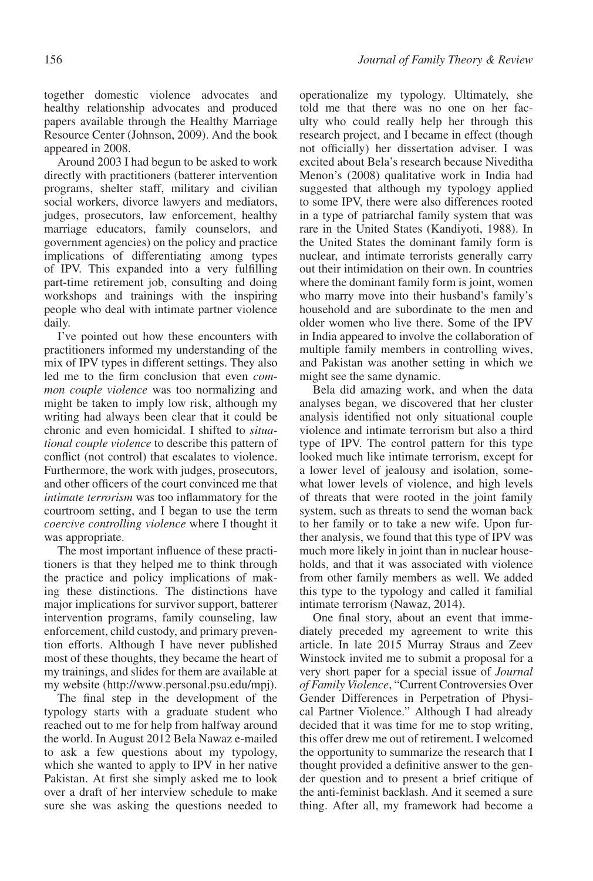together domestic violence advocates and healthy relationship advocates and produced papers available through the Healthy Marriage Resource Center (Johnson, 2009). And the book appeared in 2008.

Around 2003 I had begun to be asked to work directly with practitioners (batterer intervention programs, shelter staff, military and civilian social workers, divorce lawyers and mediators, judges, prosecutors, law enforcement, healthy marriage educators, family counselors, and government agencies) on the policy and practice implications of differentiating among types of IPV. This expanded into a very fulfilling part-time retirement job, consulting and doing workshops and trainings with the inspiring people who deal with intimate partner violence daily.

I've pointed out how these encounters with practitioners informed my understanding of the mix of IPV types in different settings. They also led me to the firm conclusion that even *common couple violence* was too normalizing and might be taken to imply low risk, although my writing had always been clear that it could be chronic and even homicidal. I shifted to *situational couple violence* to describe this pattern of conflict (not control) that escalates to violence. Furthermore, the work with judges, prosecutors, and other officers of the court convinced me that *intimate terrorism* was too inflammatory for the courtroom setting, and I began to use the term *coercive controlling violence* where I thought it was appropriate.

The most important influence of these practitioners is that they helped me to think through the practice and policy implications of making these distinctions. The distinctions have major implications for survivor support, batterer intervention programs, family counseling, law enforcement, child custody, and primary prevention efforts. Although I have never published most of these thoughts, they became the heart of my trainings, and slides for them are available at my website [\(http://www.personal.psu.edu/mpj\)](http://www.personal.psu.edu/mpj).

The final step in the development of the typology starts with a graduate student who reached out to me for help from halfway around the world. In August 2012 Bela Nawaz e-mailed to ask a few questions about my typology, which she wanted to apply to IPV in her native Pakistan. At first she simply asked me to look over a draft of her interview schedule to make sure she was asking the questions needed to operationalize my typology. Ultimately, she told me that there was no one on her faculty who could really help her through this research project, and I became in effect (though not officially) her dissertation adviser. I was excited about Bela's research because Niveditha Menon's (2008) qualitative work in India had suggested that although my typology applied to some IPV, there were also differences rooted in a type of patriarchal family system that was rare in the United States (Kandiyoti, 1988). In the United States the dominant family form is nuclear, and intimate terrorists generally carry out their intimidation on their own. In countries where the dominant family form is joint, women who marry move into their husband's family's household and are subordinate to the men and older women who live there. Some of the IPV in India appeared to involve the collaboration of multiple family members in controlling wives, and Pakistan was another setting in which we might see the same dynamic.

Bela did amazing work, and when the data analyses began, we discovered that her cluster analysis identified not only situational couple violence and intimate terrorism but also a third type of IPV. The control pattern for this type looked much like intimate terrorism, except for a lower level of jealousy and isolation, somewhat lower levels of violence, and high levels of threats that were rooted in the joint family system, such as threats to send the woman back to her family or to take a new wife. Upon further analysis, we found that this type of IPV was much more likely in joint than in nuclear households, and that it was associated with violence from other family members as well. We added this type to the typology and called it familial intimate terrorism (Nawaz, 2014).

One final story, about an event that immediately preceded my agreement to write this article. In late 2015 Murray Straus and Zeev Winstock invited me to submit a proposal for a very short paper for a special issue of *Journal of Family Violence*, "Current Controversies Over Gender Differences in Perpetration of Physical Partner Violence." Although I had already decided that it was time for me to stop writing, this offer drew me out of retirement. I welcomed the opportunity to summarize the research that I thought provided a definitive answer to the gender question and to present a brief critique of the anti-feminist backlash. And it seemed a sure thing. After all, my framework had become a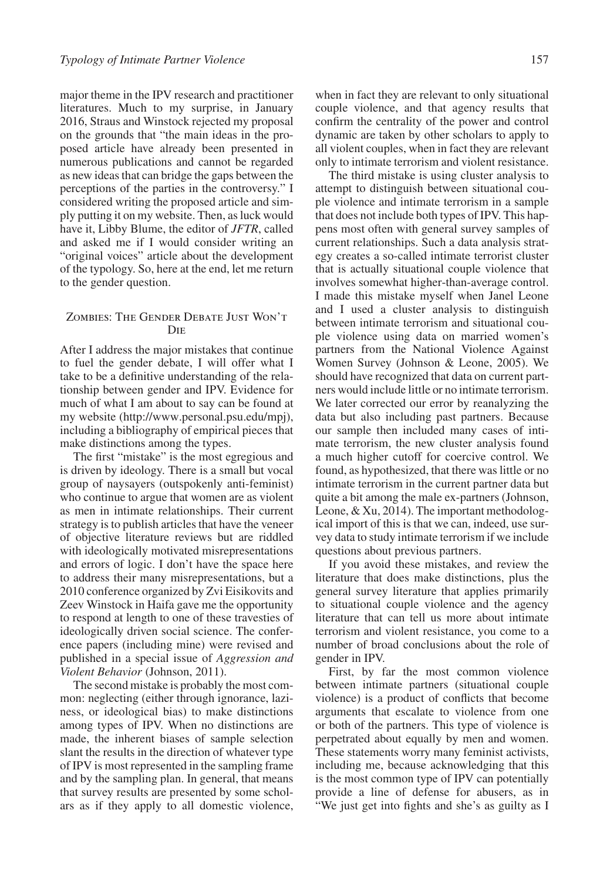major theme in the IPV research and practitioner literatures. Much to my surprise, in January 2016, Straus and Winstock rejected my proposal on the grounds that "the main ideas in the proposed article have already been presented in numerous publications and cannot be regarded as new ideas that can bridge the gaps between the perceptions of the parties in the controversy." I considered writing the proposed article and simply putting it on my website. Then, as luck would have it, Libby Blume, the editor of *JFTR*, called and asked me if I would consider writing an "original voices" article about the development of the typology. So, here at the end, let me return to the gender question.

## Zombies: The Gender Debate Just Won't Die

After I address the major mistakes that continue to fuel the gender debate, I will offer what I take to be a definitive understanding of the relationship between gender and IPV. Evidence for much of what I am about to say can be found at my website [\(http://www.personal.psu.edu/mpj\)](http://www.personal.psu.edu/mpj), including a bibliography of empirical pieces that make distinctions among the types.

The first "mistake" is the most egregious and is driven by ideology. There is a small but vocal group of naysayers (outspokenly anti-feminist) who continue to argue that women are as violent as men in intimate relationships. Their current strategy is to publish articles that have the veneer of objective literature reviews but are riddled with ideologically motivated misrepresentations and errors of logic. I don't have the space here to address their many misrepresentations, but a 2010 conference organized by Zvi Eisikovits and Zeev Winstock in Haifa gave me the opportunity to respond at length to one of these travesties of ideologically driven social science. The conference papers (including mine) were revised and published in a special issue of *Aggression and Violent Behavior* (Johnson, 2011).

The second mistake is probably the most common: neglecting (either through ignorance, laziness, or ideological bias) to make distinctions among types of IPV. When no distinctions are made, the inherent biases of sample selection slant the results in the direction of whatever type of IPV is most represented in the sampling frame and by the sampling plan. In general, that means that survey results are presented by some scholars as if they apply to all domestic violence, when in fact they are relevant to only situational couple violence, and that agency results that confirm the centrality of the power and control dynamic are taken by other scholars to apply to all violent couples, when in fact they are relevant only to intimate terrorism and violent resistance.

The third mistake is using cluster analysis to attempt to distinguish between situational couple violence and intimate terrorism in a sample that does not include both types of IPV. This happens most often with general survey samples of current relationships. Such a data analysis strategy creates a so-called intimate terrorist cluster that is actually situational couple violence that involves somewhat higher-than-average control. I made this mistake myself when Janel Leone and I used a cluster analysis to distinguish between intimate terrorism and situational couple violence using data on married women's partners from the National Violence Against Women Survey (Johnson & Leone, 2005). We should have recognized that data on current partners would include little or no intimate terrorism. We later corrected our error by reanalyzing the data but also including past partners. Because our sample then included many cases of intimate terrorism, the new cluster analysis found a much higher cutoff for coercive control. We found, as hypothesized, that there was little or no intimate terrorism in the current partner data but quite a bit among the male ex-partners (Johnson, Leone, & Xu, 2014). The important methodological import of this is that we can, indeed, use survey data to study intimate terrorism if we include questions about previous partners.

If you avoid these mistakes, and review the literature that does make distinctions, plus the general survey literature that applies primarily to situational couple violence and the agency literature that can tell us more about intimate terrorism and violent resistance, you come to a number of broad conclusions about the role of gender in IPV.

First, by far the most common violence between intimate partners (situational couple violence) is a product of conflicts that become arguments that escalate to violence from one or both of the partners. This type of violence is perpetrated about equally by men and women. These statements worry many feminist activists, including me, because acknowledging that this is the most common type of IPV can potentially provide a line of defense for abusers, as in "We just get into fights and she's as guilty as I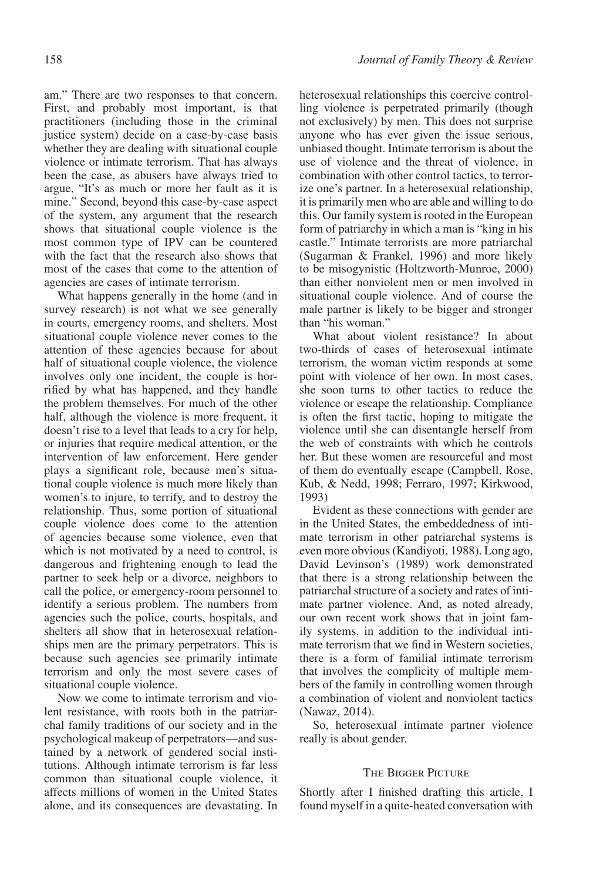am." There are two responses to that concern. First, and probably most important, is that practitioners (including those in the criminal justice system) decide on a case-by-case basis whether they are dealing with situational couple violence or intimate terrorism. That has always been the case, as abusers have always tried to argue, "It's as much or more her fault as it is mine." Second, beyond this case-by-case aspect of the system, any argument that the research shows that situational couple violence is the most common type of IPV can be countered with the fact that the research also shows that most of the cases that come to the attention of agencies are cases of intimate terrorism.

What happens generally in the home (and in survey research) is not what we see generally in courts, emergency rooms, and shelters. Most situational couple violence never comes to the attention of these agencies because for about half of situational couple violence, the violence involves only one incident, the couple is horrified by what has happened, and they handle the problem themselves. For much of the other half, although the violence is more frequent, it doesn't rise to a level that leads to a cry for help, or injuries that require medical attention, or the intervention of law enforcement. Here gender plays a significant role, because men's situational couple violence is much more likely than women's to injure, to terrify, and to destroy the relationship. Thus, some portion of situational couple violence does come to the attention of agencies because some violence, even that which is not motivated by a need to control, is dangerous and frightening enough to lead the partner to seek help or a divorce, neighbors to call the police, or emergency-room personnel to identify a serious problem. The numbers from agencies such the police, courts, hospitals, and shelters all show that in heterosexual relationships men are the primary perpetrators. This is because such agencies see primarily intimate terrorism and only the most severe cases of situational couple violence.

Now we come to intimate terrorism and violent resistance, with roots both in the patriarchal family traditions of our society and in the psychological makeup of perpetrators—and sustained by a network of gendered social institutions. Although intimate terrorism is far less common than situational couple violence, it affects millions of women in the United States alone, and its consequences are devastating. In heterosexual relationships this coercive controlling violence is perpetrated primarily (though not exclusively) by men. This does not surprise anyone who has ever given the issue serious, unbiased thought. Intimate terrorism is about the use of violence and the threat of violence, in combination with other control tactics, to terrorize one's partner. In a heterosexual relationship, it is primarily men who are able and willing to do this. Our family system is rooted in the European form of patriarchy in which a man is "king in his castle." Intimate terrorists are more patriarchal (Sugarman & Frankel, 1996) and more likely to be misogynistic (Holtzworth-Munroe, 2000) than either nonviolent men or men involved in situational couple violence. And of course the male partner is likely to be bigger and stronger than "his woman."

What about violent resistance? In about two-thirds of cases of heterosexual intimate terrorism, the woman victim responds at some point with violence of her own. In most cases, she soon turns to other tactics to reduce the violence or escape the relationship. Compliance is often the first tactic, hoping to mitigate the violence until she can disentangle herself from the web of constraints with which he controls her. But these women are resourceful and most of them do eventually escape (Campbell, Rose, Kub, & Nedd, 1998; Ferraro, 1997; Kirkwood, 1993)

Evident as these connections with gender are in the United States, the embeddedness of intimate terrorism in other patriarchal systems is even more obvious (Kandiyoti, 1988). Long ago, David Levinson's (1989) work demonstrated that there is a strong relationship between the patriarchal structure of a society and rates of intimate partner violence. And, as noted already, our own recent work shows that in joint family systems, in addition to the individual intimate terrorism that we find in Western societies, there is a form of familial intimate terrorism that involves the complicity of multiple members of the family in controlling women through a combination of violent and nonviolent tactics (Nawaz, 2014).

So, heterosexual intimate partner violence really is about gender.

## The Bigger Picture

Shortly after I finished drafting this article, I found myself in a quite-heated conversation with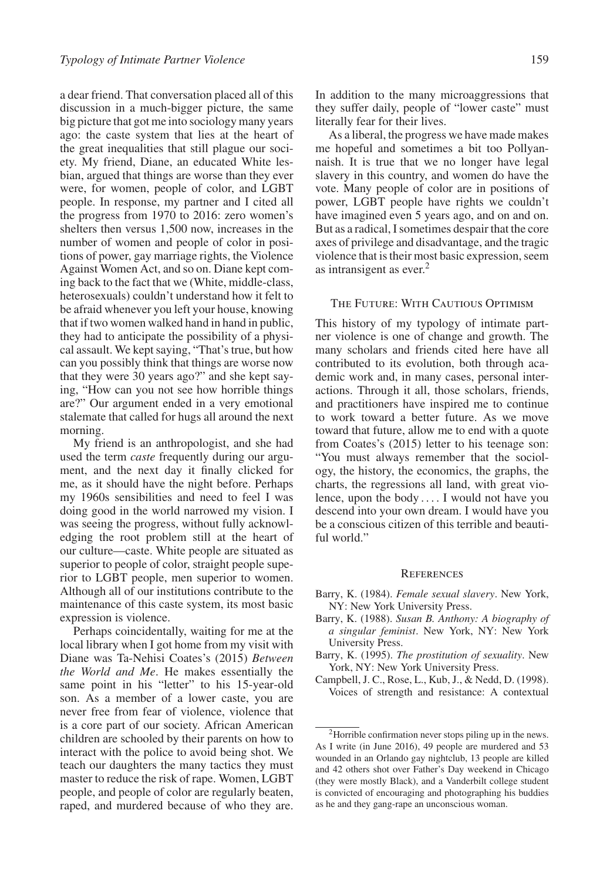a dear friend. That conversation placed all of this discussion in a much-bigger picture, the same big picture that got me into sociology many years ago: the caste system that lies at the heart of the great inequalities that still plague our society. My friend, Diane, an educated White lesbian, argued that things are worse than they ever were, for women, people of color, and LGBT people. In response, my partner and I cited all the progress from 1970 to 2016: zero women's shelters then versus 1,500 now, increases in the number of women and people of color in positions of power, gay marriage rights, the Violence Against Women Act, and so on. Diane kept coming back to the fact that we (White, middle-class, heterosexuals) couldn't understand how it felt to be afraid whenever you left your house, knowing that if two women walked hand in hand in public, they had to anticipate the possibility of a physical assault. We kept saying, "That's true, but how can you possibly think that things are worse now that they were 30 years ago?" and she kept saying, "How can you not see how horrible things are?" Our argument ended in a very emotional stalemate that called for hugs all around the next morning.

My friend is an anthropologist, and she had used the term *caste* frequently during our argument, and the next day it finally clicked for me, as it should have the night before. Perhaps my 1960s sensibilities and need to feel I was doing good in the world narrowed my vision. I was seeing the progress, without fully acknowledging the root problem still at the heart of our culture—caste. White people are situated as superior to people of color, straight people superior to LGBT people, men superior to women. Although all of our institutions contribute to the maintenance of this caste system, its most basic expression is violence.

Perhaps coincidentally, waiting for me at the local library when I got home from my visit with Diane was Ta-Nehisi Coates's (2015) *Between the World and Me*. He makes essentially the same point in his "letter" to his 15-year-old son. As a member of a lower caste, you are never free from fear of violence, violence that is a core part of our society. African American children are schooled by their parents on how to interact with the police to avoid being shot. We teach our daughters the many tactics they must master to reduce the risk of rape. Women, LGBT people, and people of color are regularly beaten, raped, and murdered because of who they are.

As a liberal, the progress we have made makes me hopeful and sometimes a bit too Pollyannaish. It is true that we no longer have legal slavery in this country, and women do have the vote. Many people of color are in positions of power, LGBT people have rights we couldn't have imagined even 5 years ago, and on and on. But as a radical, I sometimes despair that the core axes of privilege and disadvantage, and the tragic violence that is their most basic expression, seem as intransigent as ever.[2](#page-9-0)

#### The Future: With Cautious Optimism

This history of my typology of intimate partner violence is one of change and growth. The many scholars and friends cited here have all contributed to its evolution, both through academic work and, in many cases, personal interactions. Through it all, those scholars, friends, and practitioners have inspired me to continue to work toward a better future. As we move toward that future, allow me to end with a quote from Coates's (2015) letter to his teenage son: "You must always remember that the sociology, the history, the economics, the graphs, the charts, the regressions all land, with great violence, upon the body . . . . I would not have you descend into your own dream. I would have you be a conscious citizen of this terrible and beautiful world."

## **REFERENCES**

- Barry, K. (1984). *Female sexual slavery*. New York, NY: New York University Press.
- Barry, K. (1988). *Susan B. Anthony: A biography of a singular feminist*. New York, NY: New York University Press.
- Barry, K. (1995). *The prostitution of sexuality*. New York, NY: New York University Press.
- Campbell, J. C., Rose, L., Kub, J., & Nedd, D. (1998). Voices of strength and resistance: A contextual

<span id="page-9-0"></span><sup>2</sup>Horrible confirmation never stops piling up in the news. As I write (in June 2016), 49 people are murdered and 53 wounded in an Orlando gay nightclub, 13 people are killed and 42 others shot over Father's Day weekend in Chicago (they were mostly Black), and a Vanderbilt college student is convicted of encouraging and photographing his buddies as he and they gang-rape an unconscious woman.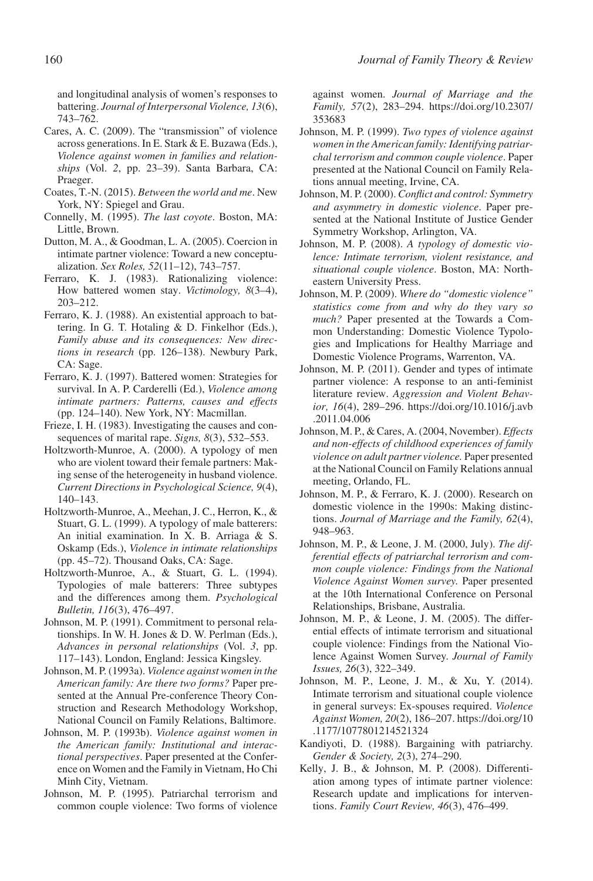and longitudinal analysis of women's responses to battering. *Journal of Interpersonal Violence, 13*(6), 743–762.

- Cares, A. C. (2009). The "transmission" of violence across generations. In E. Stark & E. Buzawa (Eds.), *Violence against women in families and relationships* (Vol. *2*, pp. 23–39). Santa Barbara, CA: Praeger.
- Coates, T.-N. (2015). *Between the world and me*. New York, NY: Spiegel and Grau.
- Connelly, M. (1995). *The last coyote*. Boston, MA: Little, Brown.
- Dutton, M. A., & Goodman, L. A. (2005). Coercion in intimate partner violence: Toward a new conceptualization. *Sex Roles, 52*(11–12), 743–757.
- Ferraro, K. J. (1983). Rationalizing violence: How battered women stay. *Victimology, 8*(3–4), 203–212.
- Ferraro, K. J. (1988). An existential approach to battering. In G. T. Hotaling & D. Finkelhor (Eds.), *Family abuse and its consequences: New directions in research* (pp. 126–138). Newbury Park, CA: Sage.
- Ferraro, K. J. (1997). Battered women: Strategies for survival. In A. P. Carderelli (Ed.), *Violence among intimate partners: Patterns, causes and effects* (pp. 124–140). New York, NY: Macmillan.
- Frieze, I. H. (1983). Investigating the causes and consequences of marital rape. *Signs, 8*(3), 532–553.
- Holtzworth-Munroe, A. (2000). A typology of men who are violent toward their female partners: Making sense of the heterogeneity in husband violence. *Current Directions in Psychological Science, 9*(4), 140–143.
- Holtzworth-Munroe, A., Meehan, J. C., Herron, K., & Stuart, G. L. (1999). A typology of male batterers: An initial examination. In X. B. Arriaga & S. Oskamp (Eds.), *Violence in intimate relationships* (pp. 45–72). Thousand Oaks, CA: Sage.
- Holtzworth-Munroe, A., & Stuart, G. L. (1994). Typologies of male batterers: Three subtypes and the differences among them. *Psychological Bulletin, 116*(3), 476–497.
- Johnson, M. P. (1991). Commitment to personal relationships. In W. H. Jones & D. W. Perlman (Eds.), *Advances in personal relationships* (Vol. *3*, pp. 117–143). London, England: Jessica Kingsley.
- Johnson, M. P. (1993a). *Violence against women in the American family: Are there two forms?* Paper presented at the Annual Pre-conference Theory Construction and Research Methodology Workshop, National Council on Family Relations, Baltimore.
- Johnson, M. P. (1993b). *Violence against women in the American family: Institutional and interactional perspectives*. Paper presented at the Conference on Women and the Family in Vietnam, Ho Chi Minh City, Vietnam.
- Johnson, M. P. (1995). Patriarchal terrorism and common couple violence: Two forms of violence

against women. *Journal of Marriage and the Family, 57*(2), 283–294. [https://doi.org/10.2307/](https://doi.org/10.2307/353683) [353683](https://doi.org/10.2307/353683)

- Johnson, M. P. (1999). *Two types of violence against women in the American family: Identifying patriarchal terrorism and common couple violence*. Paper presented at the National Council on Family Relations annual meeting, Irvine, CA.
- Johnson, M. P. (2000). *Conflict and control: Symmetry and asymmetry in domestic violence*. Paper presented at the National Institute of Justice Gender Symmetry Workshop, Arlington, VA.
- Johnson, M. P. (2008). *A typology of domestic violence: Intimate terrorism, violent resistance, and situational couple violence*. Boston, MA: Northeastern University Press.
- Johnson, M. P. (2009). *Where do "domestic violence" statistics come from and why do they vary so much?* Paper presented at the Towards a Common Understanding: Domestic Violence Typologies and Implications for Healthy Marriage and Domestic Violence Programs, Warrenton, VA.
- Johnson, M. P. (2011). Gender and types of intimate partner violence: A response to an anti-feminist literature review. *Aggression and Violent Behavior, 16*(4), 289–296. [https://doi.org/10.1016/j.avb](https://doi.org/10.1016/j.avb.2011.04.006) [.2011.04.006](https://doi.org/10.1016/j.avb.2011.04.006)
- Johnson, M. P., & Cares, A. (2004, November). *Effects and non-effects of childhood experiences of family violence on adult partner violence.* Paper presented at the National Council on Family Relations annual meeting, Orlando, FL.
- Johnson, M. P., & Ferraro, K. J. (2000). Research on domestic violence in the 1990s: Making distinctions. *Journal of Marriage and the Family, 62*(4), 948–963.
- Johnson, M. P., & Leone, J. M. (2000, July). *The differential effects of patriarchal terrorism and common couple violence: Findings from the National Violence Against Women survey.* Paper presented at the 10th International Conference on Personal Relationships, Brisbane, Australia.
- Johnson, M. P., & Leone, J. M. (2005). The differential effects of intimate terrorism and situational couple violence: Findings from the National Violence Against Women Survey. *Journal of Family Issues, 26*(3), 322–349.
- Johnson, M. P., Leone, J. M., & Xu, Y. (2014). Intimate terrorism and situational couple violence in general surveys: Ex-spouses required. *Violence Against Women, 20*(2), 186–207. [https://doi.org/10](https://doi.org/10.1177/1077801214521324) [.1177/1077801214521324](https://doi.org/10.1177/1077801214521324)
- Kandiyoti, D. (1988). Bargaining with patriarchy. *Gender & Society, 2*(3), 274–290.
- Kelly, J. B., & Johnson, M. P. (2008). Differentiation among types of intimate partner violence: Research update and implications for interventions. *Family Court Review, 46*(3), 476–499.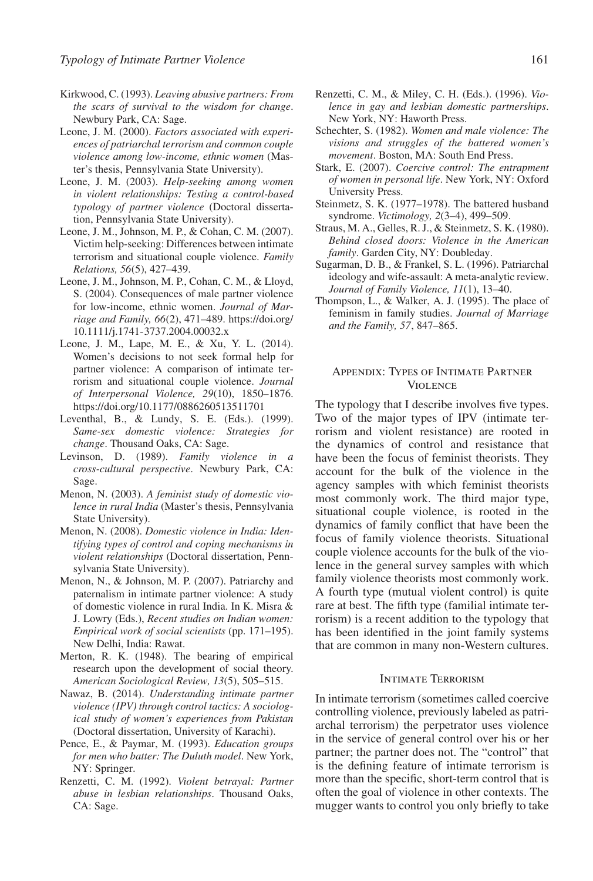- Kirkwood, C. (1993). *Leaving abusive partners: From the scars of survival to the wisdom for change*. Newbury Park, CA: Sage.
- Leone, J. M. (2000). *Factors associated with experiences of patriarchal terrorism and common couple violence among low-income, ethnic women* (Master's thesis, Pennsylvania State University).
- Leone, J. M. (2003). *Help-seeking among women in violent relationships: Testing a control-based typology of partner violence* (Doctoral dissertation, Pennsylvania State University).
- Leone, J. M., Johnson, M. P., & Cohan, C. M. (2007). Victim help-seeking: Differences between intimate terrorism and situational couple violence. *Family Relations, 56*(5), 427–439.
- Leone, J. M., Johnson, M. P., Cohan, C. M., & Lloyd, S. (2004). Consequences of male partner violence for low-income, ethnic women. *Journal of Marriage and Family, 66*(2), 471–489. [https://doi.org/](https://doi.org/10.1111/j.1741-3737.2004.00032.x) [10.1111/j.1741-3737.2004.00032.x](https://doi.org/10.1111/j.1741-3737.2004.00032.x)
- Leone, J. M., Lape, M. E., & Xu, Y. L. (2014). Women's decisions to not seek formal help for partner violence: A comparison of intimate terrorism and situational couple violence. *Journal of Interpersonal Violence, 29*(10), 1850–1876. <https://doi.org/10.1177/0886260513511701>
- Leventhal, B., & Lundy, S. E. (Eds.). (1999). *Same-sex domestic violence: Strategies for change*. Thousand Oaks, CA: Sage.
- Levinson, D. (1989). *Family violence in a cross-cultural perspective*. Newbury Park, CA: Sage.
- Menon, N. (2003). *A feminist study of domestic violence in rural India* (Master's thesis, Pennsylvania State University).
- Menon, N. (2008). *Domestic violence in India: Identifying types of control and coping mechanisms in violent relationships* (Doctoral dissertation, Pennsylvania State University).
- Menon, N., & Johnson, M. P. (2007). Patriarchy and paternalism in intimate partner violence: A study of domestic violence in rural India. In K. Misra & J. Lowry (Eds.), *Recent studies on Indian women: Empirical work of social scientists* (pp. 171–195). New Delhi, India: Rawat.
- Merton, R. K. (1948). The bearing of empirical research upon the development of social theory. *American Sociological Review, 13*(5), 505–515.
- Nawaz, B. (2014). *Understanding intimate partner violence (IPV) through control tactics: A sociological study of women's experiences from Pakistan* (Doctoral dissertation, University of Karachi).
- Pence, E., & Paymar, M. (1993). *Education groups for men who batter: The Duluth model*. New York, NY: Springer.
- Renzetti, C. M. (1992). *Violent betrayal: Partner abuse in lesbian relationships*. Thousand Oaks, CA: Sage.
- Renzetti, C. M., & Miley, C. H. (Eds.). (1996). *Violence in gay and lesbian domestic partnerships*. New York, NY: Haworth Press.
- Schechter, S. (1982). *Women and male violence: The visions and struggles of the battered women's movement*. Boston, MA: South End Press.
- Stark, E. (2007). *Coercive control: The entrapment of women in personal life*. New York, NY: Oxford University Press.
- Steinmetz, S. K. (1977–1978). The battered husband syndrome. *Victimology, 2*(3–4), 499–509.
- Straus, M. A., Gelles, R. J., & Steinmetz, S. K. (1980). *Behind closed doors: Violence in the American family*. Garden City, NY: Doubleday.
- Sugarman, D. B., & Frankel, S. L. (1996). Patriarchal ideology and wife-assault: A meta-analytic review. *Journal of Family Violence, 11*(1), 13–40.
- Thompson, L., & Walker, A. J. (1995). The place of feminism in family studies. *Journal of Marriage and the Family, 57*, 847–865.

# Appendix: Types of Intimate Partner Violence

The typology that I describe involves five types. Two of the major types of IPV (intimate terrorism and violent resistance) are rooted in the dynamics of control and resistance that have been the focus of feminist theorists. They account for the bulk of the violence in the agency samples with which feminist theorists most commonly work. The third major type, situational couple violence, is rooted in the dynamics of family conflict that have been the focus of family violence theorists. Situational couple violence accounts for the bulk of the violence in the general survey samples with which family violence theorists most commonly work. A fourth type (mutual violent control) is quite rare at best. The fifth type (familial intimate terrorism) is a recent addition to the typology that has been identified in the joint family systems that are common in many non-Western cultures.

#### Intimate Terrorism

In intimate terrorism (sometimes called coercive controlling violence, previously labeled as patriarchal terrorism) the perpetrator uses violence in the service of general control over his or her partner; the partner does not. The "control" that is the defining feature of intimate terrorism is more than the specific, short-term control that is often the goal of violence in other contexts. The mugger wants to control you only briefly to take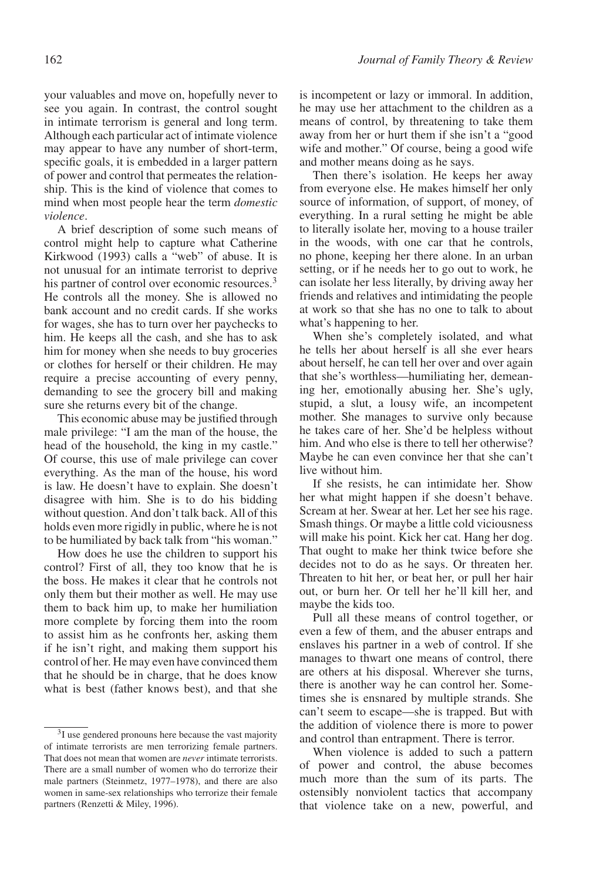your valuables and move on, hopefully never to see you again. In contrast, the control sought in intimate terrorism is general and long term. Although each particular act of intimate violence may appear to have any number of short-term, specific goals, it is embedded in a larger pattern of power and control that permeates the relationship. This is the kind of violence that comes to mind when most people hear the term *domestic violence*.

A brief description of some such means of control might help to capture what Catherine Kirkwood (1993) calls a "web" of abuse. It is not unusual for an intimate terrorist to deprive his partner of control over economic resources.<sup>[3](#page-12-0)</sup> He controls all the money. She is allowed no bank account and no credit cards. If she works for wages, she has to turn over her paychecks to him. He keeps all the cash, and she has to ask him for money when she needs to buy groceries or clothes for herself or their children. He may require a precise accounting of every penny, demanding to see the grocery bill and making sure she returns every bit of the change.

This economic abuse may be justified through male privilege: "I am the man of the house, the head of the household, the king in my castle." Of course, this use of male privilege can cover everything. As the man of the house, his word is law. He doesn't have to explain. She doesn't disagree with him. She is to do his bidding without question. And don't talk back. All of this holds even more rigidly in public, where he is not to be humiliated by back talk from "his woman."

How does he use the children to support his control? First of all, they too know that he is the boss. He makes it clear that he controls not only them but their mother as well. He may use them to back him up, to make her humiliation more complete by forcing them into the room to assist him as he confronts her, asking them if he isn't right, and making them support his control of her. He may even have convinced them that he should be in charge, that he does know what is best (father knows best), and that she is incompetent or lazy or immoral. In addition, he may use her attachment to the children as a means of control, by threatening to take them away from her or hurt them if she isn't a "good wife and mother." Of course, being a good wife and mother means doing as he says.

Then there's isolation. He keeps her away from everyone else. He makes himself her only source of information, of support, of money, of everything. In a rural setting he might be able to literally isolate her, moving to a house trailer in the woods, with one car that he controls, no phone, keeping her there alone. In an urban setting, or if he needs her to go out to work, he can isolate her less literally, by driving away her friends and relatives and intimidating the people at work so that she has no one to talk to about what's happening to her.

When she's completely isolated, and what he tells her about herself is all she ever hears about herself, he can tell her over and over again that she's worthless—humiliating her, demeaning her, emotionally abusing her. She's ugly, stupid, a slut, a lousy wife, an incompetent mother. She manages to survive only because he takes care of her. She'd be helpless without him. And who else is there to tell her otherwise? Maybe he can even convince her that she can't live without him.

If she resists, he can intimidate her. Show her what might happen if she doesn't behave. Scream at her. Swear at her. Let her see his rage. Smash things. Or maybe a little cold viciousness will make his point. Kick her cat. Hang her dog. That ought to make her think twice before she decides not to do as he says. Or threaten her. Threaten to hit her, or beat her, or pull her hair out, or burn her. Or tell her he'll kill her, and maybe the kids too.

Pull all these means of control together, or even a few of them, and the abuser entraps and enslaves his partner in a web of control. If she manages to thwart one means of control, there are others at his disposal. Wherever she turns, there is another way he can control her. Sometimes she is ensnared by multiple strands. She can't seem to escape—she is trapped. But with the addition of violence there is more to power and control than entrapment. There is terror.

When violence is added to such a pattern of power and control, the abuse becomes much more than the sum of its parts. The ostensibly nonviolent tactics that accompany that violence take on a new, powerful, and

<span id="page-12-0"></span><sup>&</sup>lt;sup>3</sup>I use gendered pronouns here because the vast majority of intimate terrorists are men terrorizing female partners. That does not mean that women are *never* intimate terrorists. There are a small number of women who do terrorize their male partners (Steinmetz, 1977–1978), and there are also women in same-sex relationships who terrorize their female partners (Renzetti & Miley, 1996).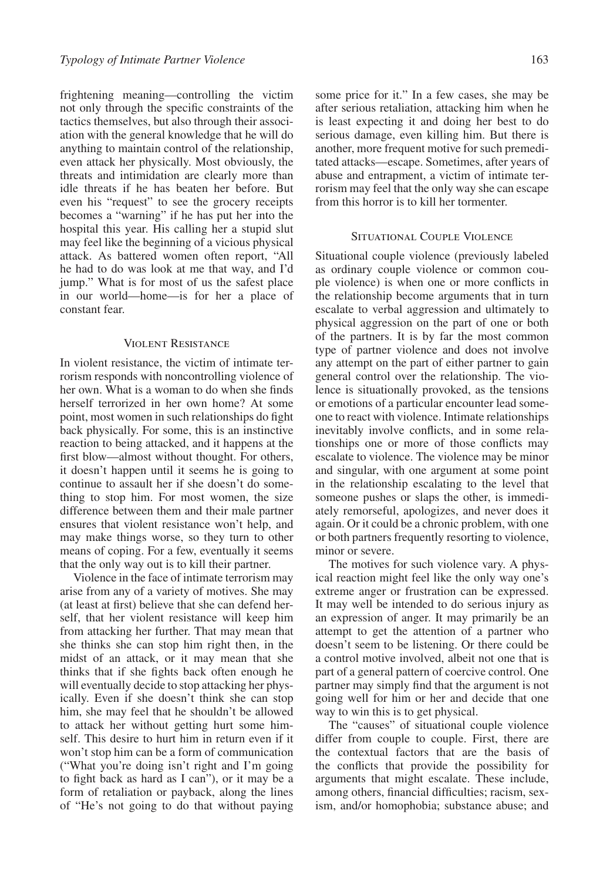frightening meaning—controlling the victim not only through the specific constraints of the tactics themselves, but also through their association with the general knowledge that he will do anything to maintain control of the relationship, even attack her physically. Most obviously, the threats and intimidation are clearly more than idle threats if he has beaten her before. But even his "request" to see the grocery receipts becomes a "warning" if he has put her into the hospital this year. His calling her a stupid slut may feel like the beginning of a vicious physical attack. As battered women often report, "All he had to do was look at me that way, and I'd jump." What is for most of us the safest place in our world—home—is for her a place of constant fear.

#### Violent Resistance

In violent resistance, the victim of intimate terrorism responds with noncontrolling violence of her own. What is a woman to do when she finds herself terrorized in her own home? At some point, most women in such relationships do fight back physically. For some, this is an instinctive reaction to being attacked, and it happens at the first blow—almost without thought. For others, it doesn't happen until it seems he is going to continue to assault her if she doesn't do something to stop him. For most women, the size difference between them and their male partner ensures that violent resistance won't help, and may make things worse, so they turn to other means of coping. For a few, eventually it seems that the only way out is to kill their partner.

Violence in the face of intimate terrorism may arise from any of a variety of motives. She may (at least at first) believe that she can defend herself, that her violent resistance will keep him from attacking her further. That may mean that she thinks she can stop him right then, in the midst of an attack, or it may mean that she thinks that if she fights back often enough he will eventually decide to stop attacking her physically. Even if she doesn't think she can stop him, she may feel that he shouldn't be allowed to attack her without getting hurt some himself. This desire to hurt him in return even if it won't stop him can be a form of communication ("What you're doing isn't right and I'm going to fight back as hard as I can"), or it may be a form of retaliation or payback, along the lines of "He's not going to do that without paying

some price for it." In a few cases, she may be after serious retaliation, attacking him when he is least expecting it and doing her best to do serious damage, even killing him. But there is another, more frequent motive for such premeditated attacks—escape. Sometimes, after years of abuse and entrapment, a victim of intimate terrorism may feel that the only way she can escape from this horror is to kill her tormenter.

# Situational Couple Violence

Situational couple violence (previously labeled as ordinary couple violence or common couple violence) is when one or more conflicts in the relationship become arguments that in turn escalate to verbal aggression and ultimately to physical aggression on the part of one or both of the partners. It is by far the most common type of partner violence and does not involve any attempt on the part of either partner to gain general control over the relationship. The violence is situationally provoked, as the tensions or emotions of a particular encounter lead someone to react with violence. Intimate relationships inevitably involve conflicts, and in some relationships one or more of those conflicts may escalate to violence. The violence may be minor and singular, with one argument at some point in the relationship escalating to the level that someone pushes or slaps the other, is immediately remorseful, apologizes, and never does it again. Or it could be a chronic problem, with one or both partners frequently resorting to violence, minor or severe.

The motives for such violence vary. A physical reaction might feel like the only way one's extreme anger or frustration can be expressed. It may well be intended to do serious injury as an expression of anger. It may primarily be an attempt to get the attention of a partner who doesn't seem to be listening. Or there could be a control motive involved, albeit not one that is part of a general pattern of coercive control. One partner may simply find that the argument is not going well for him or her and decide that one way to win this is to get physical.

The "causes" of situational couple violence differ from couple to couple. First, there are the contextual factors that are the basis of the conflicts that provide the possibility for arguments that might escalate. These include, among others, financial difficulties; racism, sexism, and/or homophobia; substance abuse; and